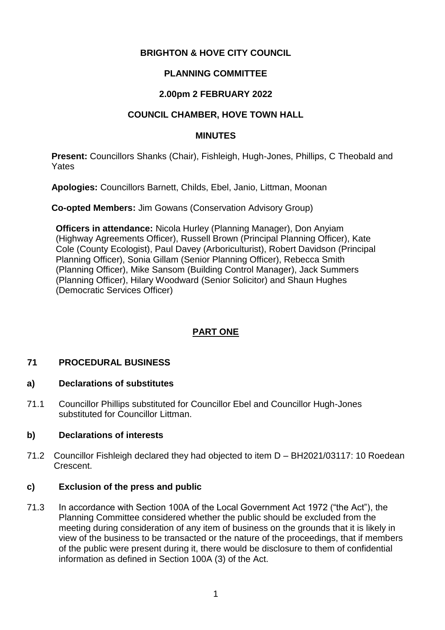### **BRIGHTON & HOVE CITY COUNCIL**

### **PLANNING COMMITTEE**

## **2.00pm 2 FEBRUARY 2022**

## **COUNCIL CHAMBER, HOVE TOWN HALL**

### **MINUTES**

**Present:** Councillors Shanks (Chair), Fishleigh, Hugh-Jones, Phillips, C Theobald and **Yates** 

**Apologies:** Councillors Barnett, Childs, Ebel, Janio, Littman, Moonan

**Co-opted Members:** Jim Gowans (Conservation Advisory Group)

**Officers in attendance:** Nicola Hurley (Planning Manager), Don Anyiam (Highway Agreements Officer), Russell Brown (Principal Planning Officer), Kate Cole (County Ecologist), Paul Davey (Arboriculturist), Robert Davidson (Principal Planning Officer), Sonia Gillam (Senior Planning Officer), Rebecca Smith (Planning Officer), Mike Sansom (Building Control Manager), Jack Summers (Planning Officer), Hilary Woodward (Senior Solicitor) and Shaun Hughes (Democratic Services Officer)

## **PART ONE**

### **71 PROCEDURAL BUSINESS**

### **a) Declarations of substitutes**

71.1 Councillor Phillips substituted for Councillor Ebel and Councillor Hugh-Jones substituted for Councillor Littman.

### **b) Declarations of interests**

71.2 Councillor Fishleigh declared they had objected to item D – BH2021/03117: 10 Roedean Crescent.

### **c) Exclusion of the press and public**

71.3 In accordance with Section 100A of the Local Government Act 1972 ("the Act"), the Planning Committee considered whether the public should be excluded from the meeting during consideration of any item of business on the grounds that it is likely in view of the business to be transacted or the nature of the proceedings, that if members of the public were present during it, there would be disclosure to them of confidential information as defined in Section 100A (3) of the Act.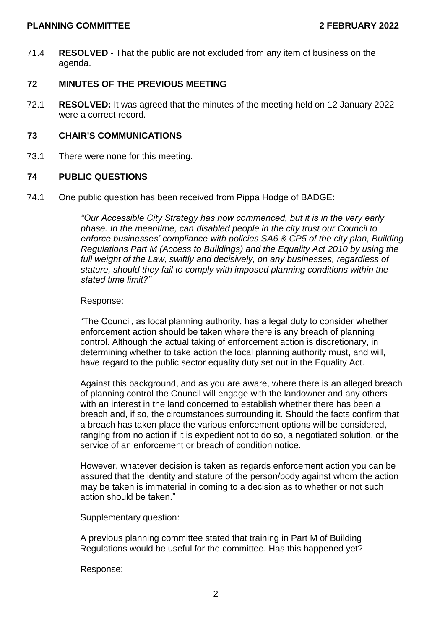#### **PLANNING COMMITTEE 2 FEBRUARY 2022**

71.4 **RESOLVED** - That the public are not excluded from any item of business on the agenda.

#### **72 MINUTES OF THE PREVIOUS MEETING**

72.1 **RESOLVED:** It was agreed that the minutes of the meeting held on 12 January 2022 were a correct record.

#### **73 CHAIR'S COMMUNICATIONS**

73.1 There were none for this meeting.

### **74 PUBLIC QUESTIONS**

74.1 One public question has been received from Pippa Hodge of BADGE:

*"Our Accessible City Strategy has now commenced, but it is in the very early phase. In the meantime, can disabled people in the city trust our Council to enforce businesses' compliance with policies SA6 & CP5 of the city plan, Building Regulations Part M (Access to Buildings) and the Equality Act 2010 by using the full weight of the Law, swiftly and decisively, on any businesses, regardless of stature, should they fail to comply with imposed planning conditions within the stated time limit?"*

#### Response:

"The Council, as local planning authority, has a legal duty to consider whether enforcement action should be taken where there is any breach of planning control. Although the actual taking of enforcement action is discretionary, in determining whether to take action the local planning authority must, and will, have regard to the public sector equality duty set out in the Equality Act.

Against this background, and as you are aware, where there is an alleged breach of planning control the Council will engage with the landowner and any others with an interest in the land concerned to establish whether there has been a breach and, if so, the circumstances surrounding it. Should the facts confirm that a breach has taken place the various enforcement options will be considered, ranging from no action if it is expedient not to do so, a negotiated solution, or the service of an enforcement or breach of condition notice.

However, whatever decision is taken as regards enforcement action you can be assured that the identity and stature of the person/body against whom the action may be taken is immaterial in coming to a decision as to whether or not such action should be taken."

Supplementary question:

A previous planning committee stated that training in Part M of Building Regulations would be useful for the committee. Has this happened yet?

Response: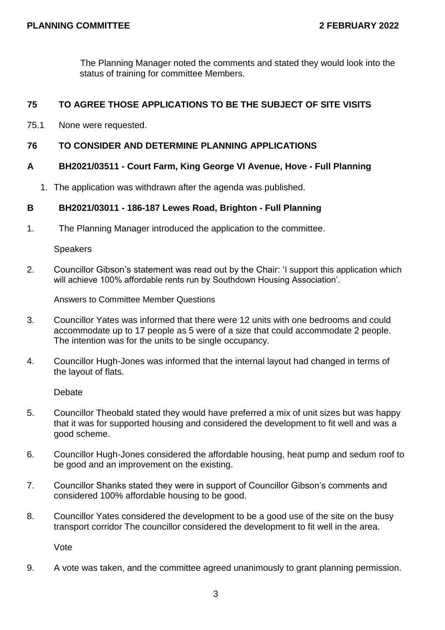The Planning Manager noted the comments and stated they would look into the status of training for committee Members.

### **75 TO AGREE THOSE APPLICATIONS TO BE THE SUBJECT OF SITE VISITS**

75.1 None were requested.

### **76 TO CONSIDER AND DETERMINE PLANNING APPLICATIONS**

### **A BH2021/03511 - Court Farm, King George VI Avenue, Hove - Full Planning**

1. The application was withdrawn after the agenda was published.

### **B BH2021/03011 - 186-187 Lewes Road, Brighton - Full Planning**

1. The Planning Manager introduced the application to the committee.

Speakers

2. Councillor Gibson's statement was read out by the Chair: 'I support this application which will achieve 100% affordable rents run by Southdown Housing Association'.

Answers to Committee Member Questions

- 3. Councillor Yates was informed that there were 12 units with one bedrooms and could accommodate up to 17 people as 5 were of a size that could accommodate 2 people. The intention was for the units to be single occupancy.
- 4. Councillor Hugh-Jones was informed that the internal layout had changed in terms of the layout of flats.

**Debate** 

- 5. Councillor Theobald stated they would have preferred a mix of unit sizes but was happy that it was for supported housing and considered the development to fit well and was a good scheme.
- 6. Councillor Hugh-Jones considered the affordable housing, heat pump and sedum roof to be good and an improvement on the existing.
- 7. Councillor Shanks stated they were in support of Councillor Gibson's comments and considered 100% affordable housing to be good.
- 8. Councillor Yates considered the development to be a good use of the site on the busy transport corridor The councillor considered the development to fit well in the area.

Vote

9. A vote was taken, and the committee agreed unanimously to grant planning permission.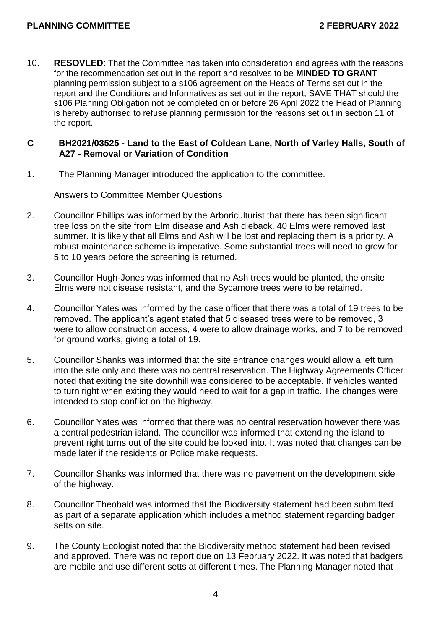10. **RESOVLED**: That the Committee has taken into consideration and agrees with the reasons for the recommendation set out in the report and resolves to be **MINDED TO GRANT**  planning permission subject to a s106 agreement on the Heads of Terms set out in the report and the Conditions and Informatives as set out in the report, SAVE THAT should the s106 Planning Obligation not be completed on or before 26 April 2022 the Head of Planning is hereby authorised to refuse planning permission for the reasons set out in section 11 of the report.

#### **C BH2021/03525 - Land to the East of Coldean Lane, North of Varley Halls, South of A27 - Removal or Variation of Condition**

1. The Planning Manager introduced the application to the committee.

Answers to Committee Member Questions

- 2. Councillor Phillips was informed by the Arboriculturist that there has been significant tree loss on the site from Elm disease and Ash dieback. 40 Elms were removed last summer. It is likely that all Elms and Ash will be lost and replacing them is a priority. A robust maintenance scheme is imperative. Some substantial trees will need to grow for 5 to 10 years before the screening is returned.
- 3. Councillor Hugh-Jones was informed that no Ash trees would be planted, the onsite Elms were not disease resistant, and the Sycamore trees were to be retained.
- 4. Councillor Yates was informed by the case officer that there was a total of 19 trees to be removed. The applicant's agent stated that 5 diseased trees were to be removed, 3 were to allow construction access, 4 were to allow drainage works, and 7 to be removed for ground works, giving a total of 19.
- 5. Councillor Shanks was informed that the site entrance changes would allow a left turn into the site only and there was no central reservation. The Highway Agreements Officer noted that exiting the site downhill was considered to be acceptable. If vehicles wanted to turn right when exiting they would need to wait for a gap in traffic. The changes were intended to stop conflict on the highway.
- 6. Councillor Yates was informed that there was no central reservation however there was a central pedestrian island. The councillor was informed that extending the island to prevent right turns out of the site could be looked into. It was noted that changes can be made later if the residents or Police make requests.
- 7. Councillor Shanks was informed that there was no pavement on the development side of the highway.
- 8. Councillor Theobald was informed that the Biodiversity statement had been submitted as part of a separate application which includes a method statement regarding badger setts on site.
- 9. The County Ecologist noted that the Biodiversity method statement had been revised and approved. There was no report due on 13 February 2022. It was noted that badgers are mobile and use different setts at different times. The Planning Manager noted that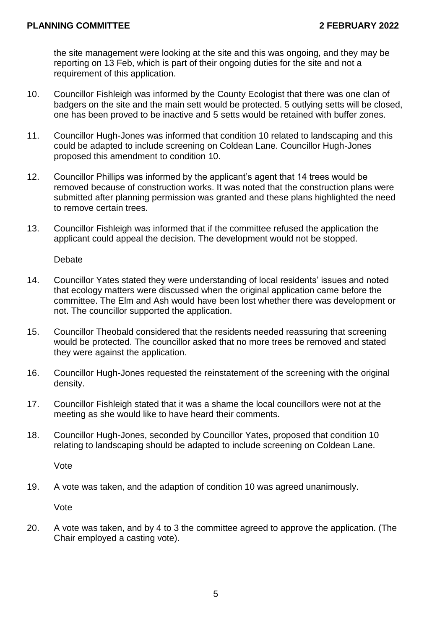the site management were looking at the site and this was ongoing, and they may be reporting on 13 Feb, which is part of their ongoing duties for the site and not a requirement of this application.

- 10. Councillor Fishleigh was informed by the County Ecologist that there was one clan of badgers on the site and the main sett would be protected. 5 outlying setts will be closed, one has been proved to be inactive and 5 setts would be retained with buffer zones.
- 11. Councillor Hugh-Jones was informed that condition 10 related to landscaping and this could be adapted to include screening on Coldean Lane. Councillor Hugh-Jones proposed this amendment to condition 10.
- 12. Councillor Phillips was informed by the applicant's agent that 14 trees would be removed because of construction works. It was noted that the construction plans were submitted after planning permission was granted and these plans highlighted the need to remove certain trees.
- 13. Councillor Fishleigh was informed that if the committee refused the application the applicant could appeal the decision. The development would not be stopped.

Debate

- 14. Councillor Yates stated they were understanding of local residents' issues and noted that ecology matters were discussed when the original application came before the committee. The Elm and Ash would have been lost whether there was development or not. The councillor supported the application.
- 15. Councillor Theobald considered that the residents needed reassuring that screening would be protected. The councillor asked that no more trees be removed and stated they were against the application.
- 16. Councillor Hugh-Jones requested the reinstatement of the screening with the original density.
- 17. Councillor Fishleigh stated that it was a shame the local councillors were not at the meeting as she would like to have heard their comments.
- 18. Councillor Hugh-Jones, seconded by Councillor Yates, proposed that condition 10 relating to landscaping should be adapted to include screening on Coldean Lane.

Vote

19. A vote was taken, and the adaption of condition 10 was agreed unanimously.

Vote

20. A vote was taken, and by 4 to 3 the committee agreed to approve the application. (The Chair employed a casting vote).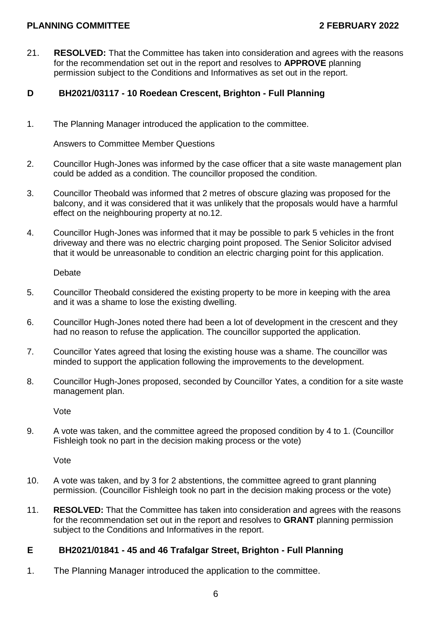### **PLANNING COMMITTEE 2 FEBRUARY 2022**

21. **RESOLVED:** That the Committee has taken into consideration and agrees with the reasons for the recommendation set out in the report and resolves to **APPROVE** planning permission subject to the Conditions and Informatives as set out in the report.

### **D BH2021/03117 - 10 Roedean Crescent, Brighton - Full Planning**

1. The Planning Manager introduced the application to the committee.

Answers to Committee Member Questions

- 2. Councillor Hugh-Jones was informed by the case officer that a site waste management plan could be added as a condition. The councillor proposed the condition.
- 3. Councillor Theobald was informed that 2 metres of obscure glazing was proposed for the balcony, and it was considered that it was unlikely that the proposals would have a harmful effect on the neighbouring property at no.12.
- 4. Councillor Hugh-Jones was informed that it may be possible to park 5 vehicles in the front driveway and there was no electric charging point proposed. The Senior Solicitor advised that it would be unreasonable to condition an electric charging point for this application.

Debate

- 5. Councillor Theobald considered the existing property to be more in keeping with the area and it was a shame to lose the existing dwelling.
- 6. Councillor Hugh-Jones noted there had been a lot of development in the crescent and they had no reason to refuse the application. The councillor supported the application.
- 7. Councillor Yates agreed that losing the existing house was a shame. The councillor was minded to support the application following the improvements to the development.
- 8. Councillor Hugh-Jones proposed, seconded by Councillor Yates, a condition for a site waste management plan.

Vote

9. A vote was taken, and the committee agreed the proposed condition by 4 to 1. (Councillor Fishleigh took no part in the decision making process or the vote)

Vote

- 10. A vote was taken, and by 3 for 2 abstentions, the committee agreed to grant planning permission. (Councillor Fishleigh took no part in the decision making process or the vote)
- 11. **RESOLVED:** That the Committee has taken into consideration and agrees with the reasons for the recommendation set out in the report and resolves to **GRANT** planning permission subject to the Conditions and Informatives in the report.

### **E BH2021/01841 - 45 and 46 Trafalgar Street, Brighton - Full Planning**

1. The Planning Manager introduced the application to the committee.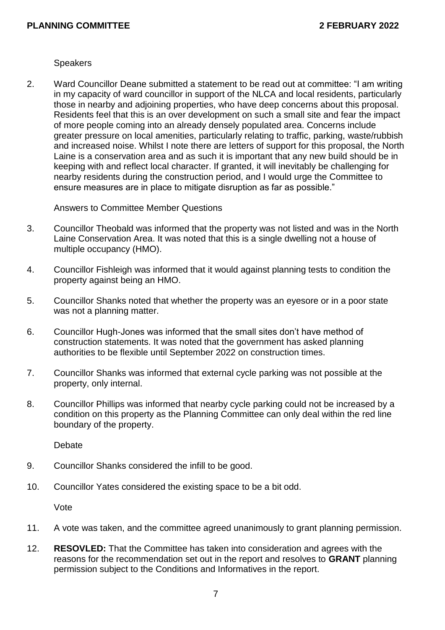**Speakers** 

2. Ward Councillor Deane submitted a statement to be read out at committee: "I am writing in my capacity of ward councillor in support of the NLCA and local residents, particularly those in nearby and adjoining properties, who have deep concerns about this proposal. Residents feel that this is an over development on such a small site and fear the impact of more people coming into an already densely populated area. Concerns include greater pressure on local amenities, particularly relating to traffic, parking, waste/rubbish and increased noise. Whilst I note there are letters of support for this proposal, the North Laine is a conservation area and as such it is important that any new build should be in keeping with and reflect local character. If granted, it will inevitably be challenging for nearby residents during the construction period, and I would urge the Committee to ensure measures are in place to mitigate disruption as far as possible."

Answers to Committee Member Questions

- 3. Councillor Theobald was informed that the property was not listed and was in the North Laine Conservation Area. It was noted that this is a single dwelling not a house of multiple occupancy (HMO).
- 4. Councillor Fishleigh was informed that it would against planning tests to condition the property against being an HMO.
- 5. Councillor Shanks noted that whether the property was an eyesore or in a poor state was not a planning matter.
- 6. Councillor Hugh-Jones was informed that the small sites don't have method of construction statements. It was noted that the government has asked planning authorities to be flexible until September 2022 on construction times.
- 7. Councillor Shanks was informed that external cycle parking was not possible at the property, only internal.
- 8. Councillor Phillips was informed that nearby cycle parking could not be increased by a condition on this property as the Planning Committee can only deal within the red line boundary of the property.

Debate

- 9. Councillor Shanks considered the infill to be good.
- 10. Councillor Yates considered the existing space to be a bit odd.

Vote

- 11. A vote was taken, and the committee agreed unanimously to grant planning permission.
- 12. **RESOVLED:** That the Committee has taken into consideration and agrees with the reasons for the recommendation set out in the report and resolves to **GRANT** planning permission subject to the Conditions and Informatives in the report.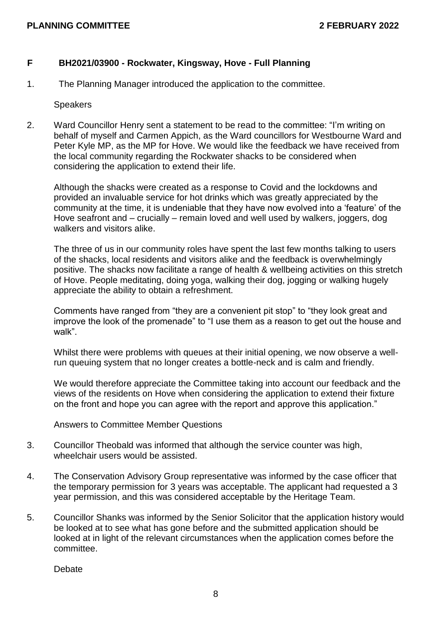### **F BH2021/03900 - Rockwater, Kingsway, Hove - Full Planning**

1. The Planning Manager introduced the application to the committee.

**Speakers** 

2. Ward Councillor Henry sent a statement to be read to the committee: "I'm writing on behalf of myself and Carmen Appich, as the Ward councillors for Westbourne Ward and Peter Kyle MP, as the MP for Hove. We would like the feedback we have received from the local community regarding the Rockwater shacks to be considered when considering the application to extend their life.

Although the shacks were created as a response to Covid and the lockdowns and provided an invaluable service for hot drinks which was greatly appreciated by the community at the time, it is undeniable that they have now evolved into a 'feature' of the Hove seafront and – crucially – remain loved and well used by walkers, joggers, dog walkers and visitors alike.

The three of us in our community roles have spent the last few months talking to users of the shacks, local residents and visitors alike and the feedback is overwhelmingly positive. The shacks now facilitate a range of health & wellbeing activities on this stretch of Hove. People meditating, doing yoga, walking their dog, jogging or walking hugely appreciate the ability to obtain a refreshment.

Comments have ranged from "they are a convenient pit stop" to "they look great and improve the look of the promenade" to "I use them as a reason to get out the house and walk".

Whilst there were problems with queues at their initial opening, we now observe a wellrun queuing system that no longer creates a bottle-neck and is calm and friendly.

We would therefore appreciate the Committee taking into account our feedback and the views of the residents on Hove when considering the application to extend their fixture on the front and hope you can agree with the report and approve this application."

Answers to Committee Member Questions

- 3. Councillor Theobald was informed that although the service counter was high, wheelchair users would be assisted.
- 4. The Conservation Advisory Group representative was informed by the case officer that the temporary permission for 3 years was acceptable. The applicant had requested a 3 year permission, and this was considered acceptable by the Heritage Team.
- 5. Councillor Shanks was informed by the Senior Solicitor that the application history would be looked at to see what has gone before and the submitted application should be looked at in light of the relevant circumstances when the application comes before the committee.

Debate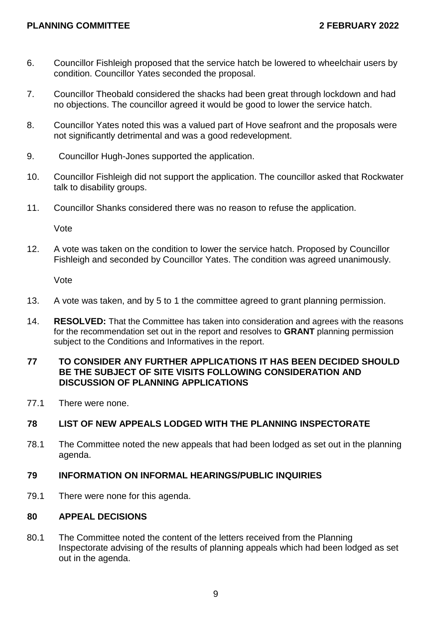- 6. Councillor Fishleigh proposed that the service hatch be lowered to wheelchair users by condition. Councillor Yates seconded the proposal.
- 7. Councillor Theobald considered the shacks had been great through lockdown and had no objections. The councillor agreed it would be good to lower the service hatch.
- 8. Councillor Yates noted this was a valued part of Hove seafront and the proposals were not significantly detrimental and was a good redevelopment.
- 9. Councillor Hugh-Jones supported the application.
- 10. Councillor Fishleigh did not support the application. The councillor asked that Rockwater talk to disability groups.
- 11. Councillor Shanks considered there was no reason to refuse the application.

Vote

12. A vote was taken on the condition to lower the service hatch. Proposed by Councillor Fishleigh and seconded by Councillor Yates. The condition was agreed unanimously.

Vote

- 13. A vote was taken, and by 5 to 1 the committee agreed to grant planning permission.
- 14. **RESOLVED:** That the Committee has taken into consideration and agrees with the reasons for the recommendation set out in the report and resolves to **GRANT** planning permission subject to the Conditions and Informatives in the report.

#### **77 TO CONSIDER ANY FURTHER APPLICATIONS IT HAS BEEN DECIDED SHOULD BE THE SUBJECT OF SITE VISITS FOLLOWING CONSIDERATION AND DISCUSSION OF PLANNING APPLICATIONS**

77.1 There were none.

### **78 LIST OF NEW APPEALS LODGED WITH THE PLANNING INSPECTORATE**

78.1 The Committee noted the new appeals that had been lodged as set out in the planning agenda.

### **79 INFORMATION ON INFORMAL HEARINGS/PUBLIC INQUIRIES**

79.1 There were none for this agenda.

### **80 APPEAL DECISIONS**

80.1 The Committee noted the content of the letters received from the Planning Inspectorate advising of the results of planning appeals which had been lodged as set out in the agenda.